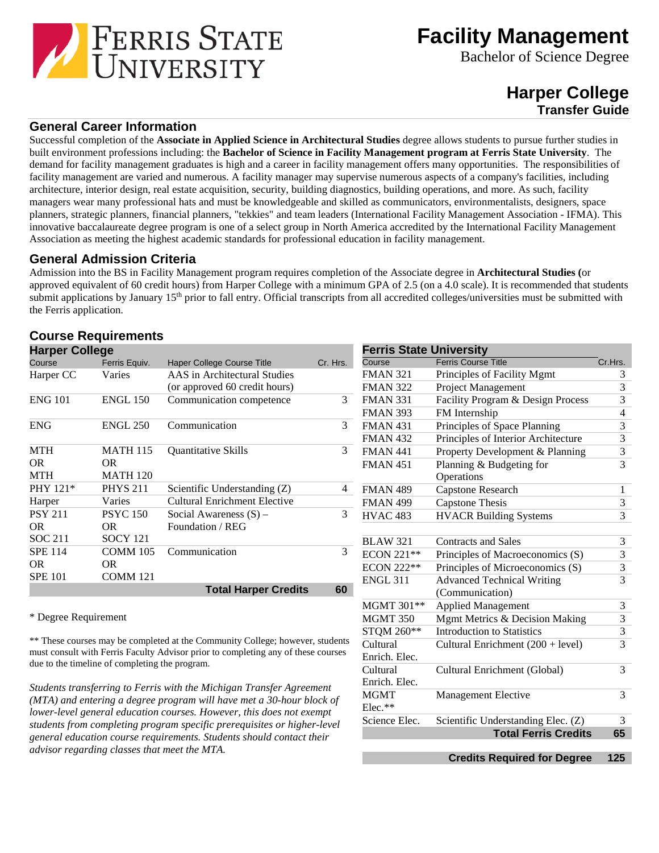

**Facility Management**

Bachelor of Science Degree

# **Harper College Transfer Guide**

# **General Career Information**

Successful completion of the **Associate in Applied Science in Architectural Studies** degree allows students to pursue further studies in built environment professions including: the **Bachelor of Science in Facility Management program at Ferris State University**. The demand for facility management graduates is high and a career in facility management offers many opportunities. The responsibilities of facility management are varied and numerous. A facility manager may supervise numerous aspects of a company's facilities, including architecture, interior design, real estate acquisition, security, building diagnostics, building operations, and more. As such, facility managers wear many professional hats and must be knowledgeable and skilled as communicators, environmentalists, designers, space planners, strategic planners, financial planners, "tekkies" and team leaders (International Facility Management Association - IFMA). This innovative baccalaureate degree program is one of a select group in North America accredited by the International Facility Management Association as meeting the highest academic standards for professional education in facility management.

### **General Admission Criteria**

Admission into the BS in Facility Management program requires completion of the Associate degree in **Architectural Studies (**or approved equivalent of 60 credit hours) from Harper College with a minimum GPA of 2.5 (on a 4.0 scale). It is recommended that students submit applications by January 15<sup>th</sup> prior to fall entry. Official transcripts from all accredited colleges/universities must be submitted with the Ferris application.

# **Course Requirements**

| <b>Harper College</b> |                 |                               |          | <b>Ferris State University</b> |                                     |         |
|-----------------------|-----------------|-------------------------------|----------|--------------------------------|-------------------------------------|---------|
| Course                | Ferris Equiv.   | Haper College Course Title    | Cr. Hrs. | Course                         | <b>Ferris Course Title</b>          | Cr.Hrs. |
| Harper CC             | Varies          | AAS in Architectural Studies  |          | <b>FMAN 321</b>                | Principles of Facility Mgmt         | 3       |
|                       |                 | (or approved 60 credit hours) |          | <b>FMAN 322</b>                | Project Management                  | 3       |
| <b>ENG 101</b>        | <b>ENGL 150</b> | Communication competence      | 3        | <b>FMAN 331</b>                | Facility Program & Design Process   | 3       |
|                       |                 |                               |          | <b>FMAN 393</b>                | FM Internship                       | 4       |
| <b>ENG</b>            | <b>ENGL 250</b> | Communication                 | 3        | <b>FMAN 431</b>                | Principles of Space Planning        | 3       |
|                       |                 |                               |          | <b>FMAN 432</b>                | Principles of Interior Architecture | 3       |
| <b>MTH</b>            | <b>MATH 115</b> | <b>Quantitative Skills</b>    | 3        | <b>FMAN 441</b>                | Property Development & Planning     | 3       |
| OR.                   | OR.             |                               |          | <b>FMAN 451</b>                | Planning & Budgeting for            | 3       |
| <b>MTH</b>            | <b>MATH 120</b> |                               |          |                                | Operations                          |         |
| PHY 121*              | <b>PHYS 211</b> | Scientific Understanding (Z)  | 4        | <b>FMAN 489</b>                | Capstone Research                   |         |
| Harper                | Varies          | Cultural Enrichment Elective  |          | <b>FMAN 499</b>                | Capstone Thesis                     | 3       |
| <b>PSY 211</b>        | <b>PSYC</b> 150 | Social Awareness $(S)$ –      | 3        | <b>HVAC 483</b>                | <b>HVACR Building Systems</b>       | 3       |
| OR.                   | OR.             | Foundation / REG              |          |                                |                                     |         |
| <b>SOC 211</b>        | <b>SOCY 121</b> |                               |          | <b>BLAW 321</b>                | <b>Contracts and Sales</b>          | 3       |
| <b>SPE 114</b>        | COMM 105        | Communication                 | 3        | <b>ECON 221**</b>              | Principles of Macroeconomics (S)    | 3       |
| <b>OR</b>             | OR.             |                               |          | <b>ECON 222**</b>              | Principles of Microeconomics (S)    | 3       |
| <b>SPE 101</b>        | <b>COMM 121</b> |                               |          | <b>ENGL 311</b>                | <b>Advanced Technical Writing</b>   | 3       |
|                       |                 | <b>Total Harper Credits</b>   | 60       |                                | (Communication)                     |         |

#### \* Degree Requirement

\*\* These courses may be completed at the Community College; however, students must consult with Ferris Faculty Advisor prior to completing any of these courses due to the timeline of completing the program.

*Students transferring to Ferris with the Michigan Transfer Agreement (MTA) and entering a degree program will have met a 30-hour block of lower-level general education courses. However, this does not exempt students from completing program specific prerequisites or higher-level general education course requirements. Students should contact their advisor regarding classes that meet the MTA.*

|                 | <b>Total Ferris Credits</b>         | 65                      |
|-----------------|-------------------------------------|-------------------------|
| Science Elec.   | Scientific Understanding Elec. (Z)  | 3                       |
| Elec.**         |                                     |                         |
| MGMT            | Management Elective                 | 3                       |
| Enrich. Elec.   |                                     |                         |
| Cultural        | Cultural Enrichment (Global)        | 3                       |
| Enrich. Elec.   |                                     |                         |
| Cultural        | Cultural Enrichment (200 + level)   | $\overline{3}$          |
| STQM 260**      | <b>Introduction to Statistics</b>   | $\overline{3}$          |
| MGMT 350        | Mgmt Metrics & Decision Making      | $\overline{3}$          |
| MGMT 301**      | <b>Applied Management</b>           | 3                       |
|                 | (Communication)                     |                         |
| ENGL 311        | <b>Advanced Technical Writing</b>   | $\overline{3}$          |
| ECON 222**      | Principles of Microeconomics (S)    | $\overline{\mathbf{3}}$ |
| ECON 221**      | Principles of Macroeconomics (S)    | 3                       |
| <b>BLAW 321</b> | <b>Contracts and Sales</b>          | 3                       |
| HVAC 483        | <b>HVACR Building Systems</b>       | 3                       |
| <b>FMAN 499</b> | <b>Capstone Thesis</b>              | 3                       |
| FMAN 489        | Capstone Research                   | 1                       |
|                 | Operations                          |                         |
| <b>FMAN 451</b> | Planning & Budgeting for            | $\overline{3}$          |
| FMAN 441        | Property Development & Planning     | 3                       |
| <b>FMAN 432</b> | Principles of Interior Architecture | 3                       |
| <b>FMAN 431</b> | Principles of Space Planning        | 3                       |
|                 |                                     |                         |

**Credits Required for Degree 125**